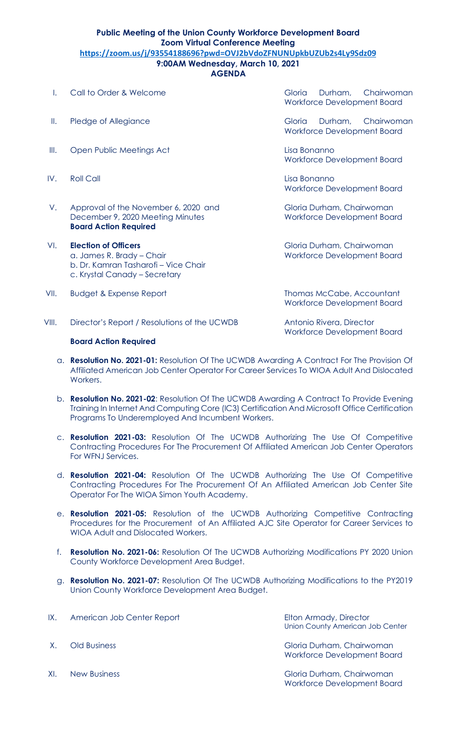## **Public Meeting of the Union County Workforce Development Board Zoom Virtual Conference Meeting https://zoom.us/j/93554188696?pwd=OVJ2bVdoZFNUNUpkbUZUb2s4Ly9Sdz09 9:00AM Wednesday, March 10, 2021**

## **AGENDA**

- 
- 
- III. Open Public Meetings Act Lisa Bonanno
- 
- V. Approval of the November 6, 2020 and Gloria Durham, Chairwoman December 9, 2020 Meeting Minutes Workforce Development Board **Board Action Required**
- VI. **Election of Officers** Gloria Durham, Chairwoman a. James R. Brady – Chair Workforce Development Board b. Dr. Kamran Tasharofi – Vice Chair c. Krystal Canady – Secretary
- VII. Budget & Expense Report Thomas McCabe, Accountant

VIII. Director's Report / Resolutions of the UCWDB Antonio Rivera, Director

## **Board Action Required**

I. Call to Order & Welcome Contact Communication Chairwoman Gloria Durham, Chairwoman Workforce Development Board

II. Pledge of Allegiance and The Gloria Durham, Chairwoman Workforce Development Board

Workforce Development Board

IV. Roll Call Lisa Bonanno Workforce Development Board

Workforce Development Board

Workforce Development Board

- a. **Resolution No. 2021-01:** Resolution Of The UCWDB Awarding A Contract For The Provision Of Affiliated American Job Center Operator For Career Services To WIOA Adult And Dislocated Workers.
- b. **Resolution No. 2021-02**: Resolution Of The UCWDB Awarding A Contract To Provide Evening Training In Internet And Computing Core (IC3) Certification And Microsoft Office Certification Programs To Underemployed And Incumbent Workers.
- c. **Resolution 2021-03:** Resolution Of The UCWDB Authorizing The Use Of Competitive Contracting Procedures For The Procurement Of Affiliated American Job Center Operators For WFNJ Services.
- d. **Resolution 2021-04:** Resolution Of The UCWDB Authorizing The Use Of Competitive Contracting Procedures For The Procurement Of An Affiliated American Job Center Site Operator For The WIOA Simon Youth Academy.
- e. **Resolution 2021-05:** Resolution of the UCWDB Authorizing Competitive Contracting Procedures for the Procurement of An Affiliated AJC Site Operator for Career Services to WIOA Adult and Dislocated Workers.
- f. **Resolution No. 2021-06:** Resolution Of The UCWDB Authorizing Modifications PY 2020 Union County Workforce Development Area Budget.
- g. **Resolution No. 2021-07:** Resolution Of The UCWDB Authorizing Modifications to the PY2019 Union County Workforce Development Area Budget.

| IX. | American Job Center Report      | Elton Armady, Director<br>Union County American Job Center |
|-----|---------------------------------|------------------------------------------------------------|
| X.  | Old Business                    | Gloria Durham, Chairwoman<br>Workforce Development Board   |
|     | $\mathcal{M}$ and $\mathcal{M}$ |                                                            |

XI. New Business Gloria Durham, Chairwoman Workforce Development Board